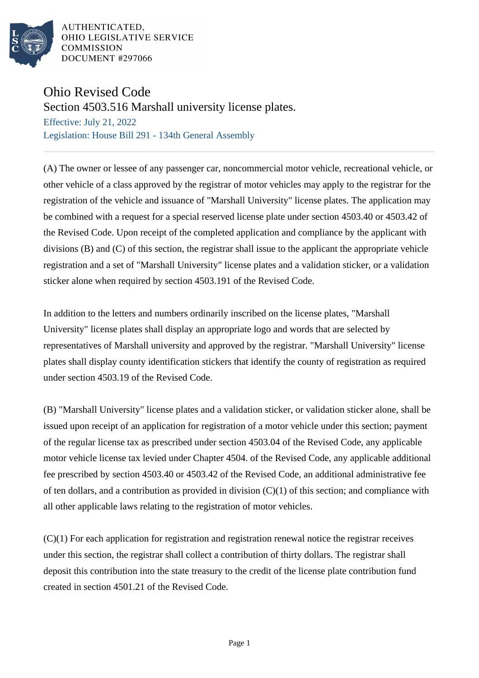

AUTHENTICATED. OHIO LEGISLATIVE SERVICE **COMMISSION** DOCUMENT #297066

## Ohio Revised Code

Section 4503.516 Marshall university license plates.

Effective: July 21, 2022 Legislation: House Bill 291 - 134th General Assembly

(A) The owner or lessee of any passenger car, noncommercial motor vehicle, recreational vehicle, or other vehicle of a class approved by the registrar of motor vehicles may apply to the registrar for the registration of the vehicle and issuance of "Marshall University" license plates. The application may be combined with a request for a special reserved license plate under section 4503.40 or 4503.42 of the Revised Code. Upon receipt of the completed application and compliance by the applicant with divisions (B) and (C) of this section, the registrar shall issue to the applicant the appropriate vehicle registration and a set of "Marshall University" license plates and a validation sticker, or a validation sticker alone when required by section 4503.191 of the Revised Code.

In addition to the letters and numbers ordinarily inscribed on the license plates, "Marshall University" license plates shall display an appropriate logo and words that are selected by representatives of Marshall university and approved by the registrar. "Marshall University" license plates shall display county identification stickers that identify the county of registration as required under section 4503.19 of the Revised Code.

(B) "Marshall University" license plates and a validation sticker, or validation sticker alone, shall be issued upon receipt of an application for registration of a motor vehicle under this section; payment of the regular license tax as prescribed under section 4503.04 of the Revised Code, any applicable motor vehicle license tax levied under Chapter 4504. of the Revised Code, any applicable additional fee prescribed by section 4503.40 or 4503.42 of the Revised Code, an additional administrative fee of ten dollars, and a contribution as provided in division  $(C)(1)$  of this section; and compliance with all other applicable laws relating to the registration of motor vehicles.

(C)(1) For each application for registration and registration renewal notice the registrar receives under this section, the registrar shall collect a contribution of thirty dollars. The registrar shall deposit this contribution into the state treasury to the credit of the license plate contribution fund created in section 4501.21 of the Revised Code.